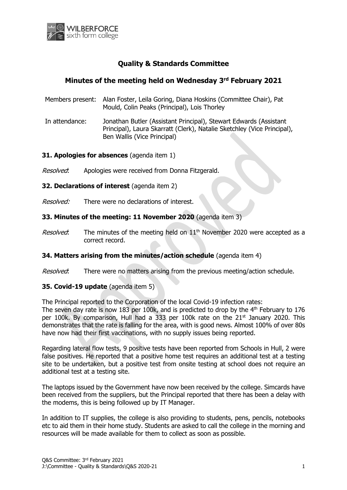

# **Quality & Standards Committee**

## **Minutes of the meeting held on Wednesday 3 rd February 2021**

- Members present: Alan Foster, Leila Goring, Diana Hoskins (Committee Chair), Pat Mould, Colin Peaks (Principal), Lois Thorley
- In attendance: Jonathan Butler (Assistant Principal), Stewart Edwards (Assistant Principal), Laura Skarratt (Clerk), Natalie Sketchley (Vice Principal), Ben Wallis (Vice Principal)

## **31. Apologies for absences** (agenda item 1)

- Resolved: Apologies were received from Donna Fitzgerald.
- **32. Declarations of interest** (agenda item 2)
- Resolved: There were no declarations of interest.

## **33. Minutes of the meeting: 11 November 2020** (agenda item 3)

*Resolved*: The minutes of the meeting held on  $11<sup>th</sup>$  November 2020 were accepted as a correct record.

## **34. Matters arising from the minutes/action schedule** (agenda item 4)

Resolved: There were no matters arising from the previous meeting/action schedule.

## **35. Covid-19 update** (agenda item 5)

The Principal reported to the Corporation of the local Covid-19 infection rates:

The seven day rate is now 183 per 100k, and is predicted to drop by the  $4<sup>th</sup>$  February to 176 per 100k. By comparison, Hull had a 333 per 100k rate on the  $21<sup>st</sup>$  January 2020. This demonstrates that the rate is falling for the area, with is good news. Almost 100% of over 80s have now had their first vaccinations, with no supply issues being reported.

Regarding lateral flow tests, 9 positive tests have been reported from Schools in Hull, 2 were false positives. He reported that a positive home test requires an additional test at a testing site to be undertaken, but a positive test from onsite testing at school does not require an additional test at a testing site.

The laptops issued by the Government have now been received by the college. Simcards have been received from the suppliers, but the Principal reported that there has been a delay with the modems, this is being followed up by IT Manager.

In addition to IT supplies, the college is also providing to students, pens, pencils, notebooks etc to aid them in their home study. Students are asked to call the college in the morning and resources will be made available for them to collect as soon as possible.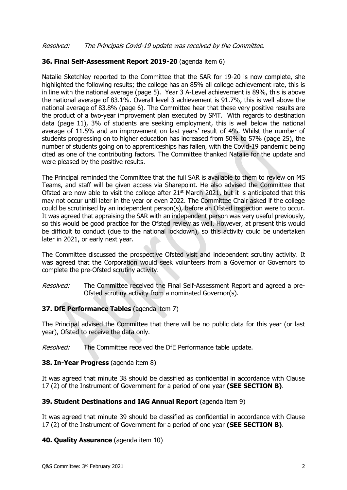## Resolved: The Principals Covid-19 update was received by the Committee.

## **36. Final Self-Assessment Report 2019-20** (agenda item 6)

Natalie Sketchley reported to the Committee that the SAR for 19-20 is now complete, she highlighted the following results; the college has an 85% all college achievement rate, this is in line with the national average (page 5). Year 3 A-Level achievement is 89%, this is above the national average of 83.1%. Overall level 3 achievement is 91.7%, this is well above the national average of 83.8% (page 6). The Committee hear that these very positive results are the product of a two-year improvement plan executed by SMT. With regards to destination data (page 11), 3% of students are seeking employment, this is well below the national average of 11.5% and an improvement on last years' result of 4%. Whilst the number of students progressing on to higher education has increased from 50% to 57% (page 25), the number of students going on to apprenticeships has fallen, with the Covid-19 pandemic being cited as one of the contributing factors. The Committee thanked Natalie for the update and were pleased by the positive results.

The Principal reminded the Committee that the full SAR is available to them to review on MS Teams, and staff will be given access via Sharepoint. He also advised the Committee that Ofsted are now able to visit the college after  $21<sup>st</sup>$  March 2021, but it is anticipated that this may not occur until later in the year or even 2022. The Committee Chair asked if the college could be scrutinised by an independent person(s), before an Ofsted inspection were to occur. It was agreed that appraising the SAR with an independent person was very useful previously, so this would be good practice for the Ofsted review as well. However, at present this would be difficult to conduct (due to the national lockdown), so this activity could be undertaken later in 2021, or early next year.

The Committee discussed the prospective Ofsted visit and independent scrutiny activity. It was agreed that the Corporation would seek volunteers from a Governor or Governors to complete the pre-Ofsted scrutiny activity.

Resolved: The Committee received the Final Self-Assessment Report and agreed a pre-Ofsted scrutiny activity from a nominated Governor(s).

#### **37. DfE Performance Tables** (agenda item 7)

The Principal advised the Committee that there will be no public data for this year (or last year), Ofsted to receive the data only.

Resolved: The Committee received the DfE Performance table update.

#### **38. In-Year Progress** (agenda item 8)

It was agreed that minute 38 should be classified as confidential in accordance with Clause 17 (2) of the Instrument of Government for a period of one year **(SEE SECTION B)**.

#### **39. Student Destinations and IAG Annual Report** (agenda item 9)

It was agreed that minute 39 should be classified as confidential in accordance with Clause 17 (2) of the Instrument of Government for a period of one year **(SEE SECTION B)**.

**40. Quality Assurance** (agenda item 10)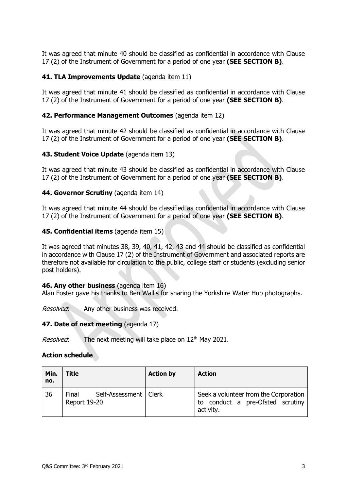It was agreed that minute 40 should be classified as confidential in accordance with Clause 17 (2) of the Instrument of Government for a period of one year **(SEE SECTION B)**.

## **41. TLA Improvements Update** (agenda item 11)

It was agreed that minute 41 should be classified as confidential in accordance with Clause 17 (2) of the Instrument of Government for a period of one year **(SEE SECTION B)**.

## **42. Performance Management Outcomes** (agenda item 12)

It was agreed that minute 42 should be classified as confidential in accordance with Clause 17 (2) of the Instrument of Government for a period of one year **(SEE SECTION B)**.

## **43. Student Voice Update** (agenda item 13)

It was agreed that minute 43 should be classified as confidential in accordance with Clause 17 (2) of the Instrument of Government for a period of one year **(SEE SECTION B)**.

## **44. Governor Scrutiny** (agenda item 14)

It was agreed that minute 44 should be classified as confidential in accordance with Clause 17 (2) of the Instrument of Government for a period of one year **(SEE SECTION B)**.

#### **45. Confidential items** (agenda item 15)

It was agreed that minutes 38, 39, 40, 41, 42, 43 and 44 should be classified as confidential in accordance with Clause 17 (2) of the Instrument of Government and associated reports are therefore not available for circulation to the public, college staff or students (excluding senior post holders).

#### **46. Any other business** (agenda item 16)

Alan Foster gave his thanks to Ben Wallis for sharing the Yorkshire Water Hub photographs.

Resolved: Any other business was received.

#### **47. Date of next meeting** (agenda 17)

*Resolved*: The next meeting will take place on  $12<sup>th</sup>$  May 2021.

#### **Action schedule**

| Min.<br>no. | <b>Title</b>                                            | <b>Action by</b> | <b>Action</b>                                                                          |
|-------------|---------------------------------------------------------|------------------|----------------------------------------------------------------------------------------|
| 36          | Self-Assessment   Clerk<br>Final<br><b>Report 19-20</b> |                  | Seek a volunteer from the Corporation<br>to conduct a pre-Ofsted scrutiny<br>activity. |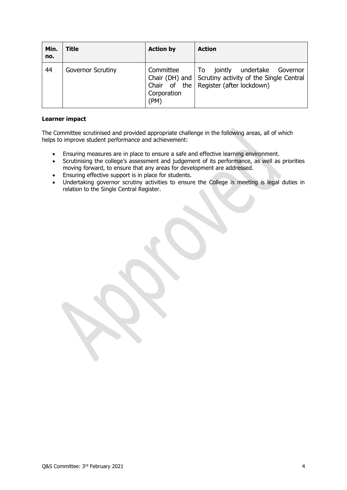| Min.<br>no. | Title                    | <b>Action by</b>                 | <b>Action</b>                                                                                                                                |
|-------------|--------------------------|----------------------------------|----------------------------------------------------------------------------------------------------------------------------------------------|
| 44          | <b>Governor Scrutiny</b> | Committee<br>Corporation<br>(PM) | jointly<br>undertake<br>To<br>Governor<br>Chair (DH) and Scrutiny activity of the Single Central<br>Chair of the   Register (after lockdown) |

#### **Learner impact**

The Committee scrutinised and provided appropriate challenge in the following areas, all of which helps to improve student performance and achievement:

- Ensuring measures are in place to ensure a safe and effective learning environment.
- Scrutinising the college's assessment and judgement of its performance, as well as priorities moving forward, to ensure that any areas for development are addressed.
- Ensuring effective support is in place for students.<br>• Undertaking governor scrutiny activities to ensure
- Undertaking governor scrutiny activities to ensure the College is meeting is legal duties in relation to the Single Central Register.